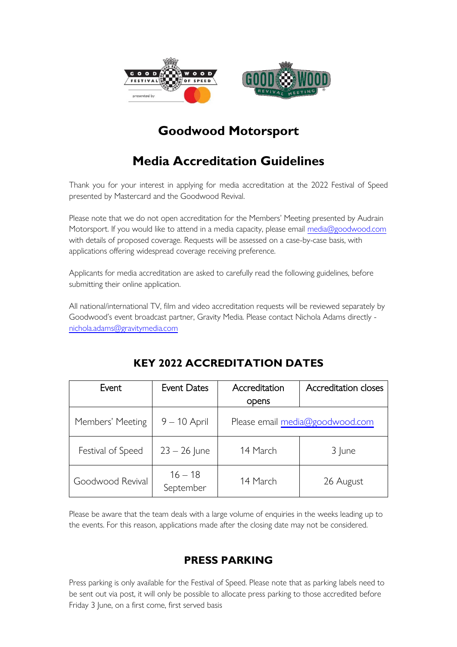

# **Goodwood Motorsport**

# **Media Accreditation Guidelines**

Thank you for your interest in applying for media accreditation at the 2022 Festival of Speed presented by Mastercard and the Goodwood Revival.

Please note that we do not open accreditation for the Members' Meeting presented by Audrain Motorsport. If you would like to attend in a media capacity, please email [media@goodwood.com](mailto:media@goodwood.com) with details of proposed coverage. Requests will be assessed on a case-by-case basis, with applications offering widespread coverage receiving preference.

Applicants for media accreditation are asked to carefully read the following guidelines, before submitting their online application.

All national/international TV, film and video accreditation requests will be reviewed separately by Goodwood's event broadcast partner, Gravity Media. Please contact Nichola Adams directly [nichola.adams@gravitymedia.com](mailto:nichola.adams@gravitymedia.com)

| Event             | <b>Event Dates</b>     | Accreditation<br>opens          | Accreditation closes |
|-------------------|------------------------|---------------------------------|----------------------|
| Members' Meeting  | $9 - 10$ April         | Please email media@goodwood.com |                      |
| Festival of Speed | $23 - 26$ June         | 14 March                        | 3 June               |
| Goodwood Revival  | $16 - 18$<br>September | 14 March                        | 26 August            |

# **KEY 2022 ACCREDITATION DATES**

Please be aware that the team deals with a large volume of enquiries in the weeks leading up to the events. For this reason, applications made after the closing date may not be considered.

### **PRESS PARKING**

Press parking is only available for the Festival of Speed. Please note that as parking labels need to be sent out via post, it will only be possible to allocate press parking to those accredited before Friday 3 June, on a first come, first served basis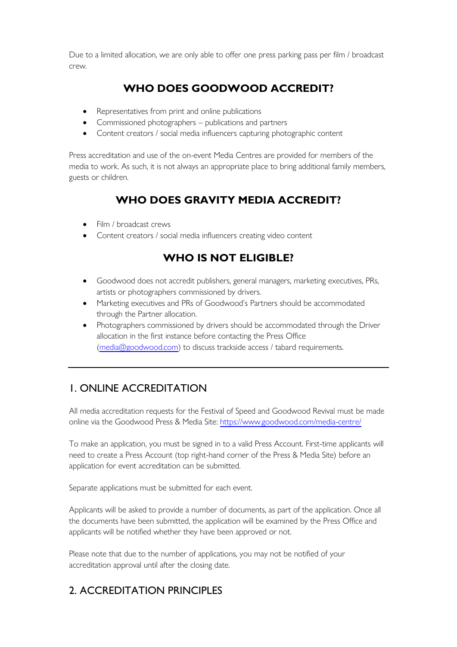Due to a limited allocation, we are only able to offer one press parking pass per film / broadcast crew.

# **WHO DOES GOODWOOD ACCREDIT?**

- Representatives from print and online publications
- Commissioned photographers publications and partners
- Content creators / social media influencers capturing photographic content

Press accreditation and use of the on-event Media Centres are provided for members of the media to work. As such, it is not always an appropriate place to bring additional family members, guests or children.

# **WHO DOES GRAVITY MEDIA ACCREDIT?**

- Film / broadcast crews
- Content creators / social media influencers creating video content

# **WHO IS NOT ELIGIBLE?**

- Goodwood does not accredit publishers, general managers, marketing executives, PRs, artists or photographers commissioned by drivers.
- Marketing executives and PRs of Goodwood's Partners should be accommodated through the Partner allocation.
- Photographers commissioned by drivers should be accommodated through the Driver allocation in the first instance before contacting the Press Office [\(media@goodwood.com\)](mailto:media@goodwood.com) to discuss trackside access / tabard requirements.

# 1. ONLINE ACCREDITATION

All media accreditation requests for the Festival of Speed and Goodwood Revival must be made online via the Goodwood Press & Media Site:<https://www.goodwood.com/media-centre/>

To make an application, you must be signed in to a valid Press Account. First-time applicants will need to create a Press Account (top right-hand corner of the Press & Media Site) before an application for event accreditation can be submitted.

Separate applications must be submitted for each event.

Applicants will be asked to provide a number of documents, as part of the application. Once all the documents have been submitted, the application will be examined by the Press Office and applicants will be notified whether they have been approved or not.

Please note that due to the number of applications, you may not be notified of your accreditation approval until after the closing date.

# 2. ACCREDITATION PRINCIPLES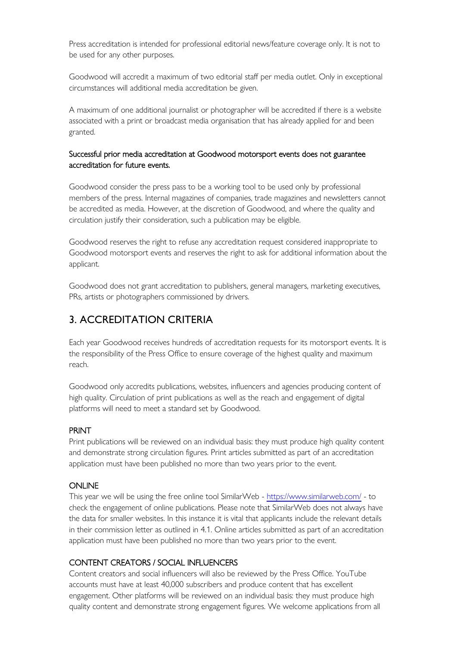Press accreditation is intended for professional editorial news/feature coverage only. It is not to be used for any other purposes.

Goodwood will accredit a maximum of two editorial staff per media outlet. Only in exceptional circumstances will additional media accreditation be given.

A maximum of one additional journalist or photographer will be accredited if there is a website associated with a print or broadcast media organisation that has already applied for and been granted.

#### Successful prior media accreditation at Goodwood motorsport events does not guarantee accreditation for future events.

Goodwood consider the press pass to be a working tool to be used only by professional members of the press. Internal magazines of companies, trade magazines and newsletters cannot be accredited as media. However, at the discretion of Goodwood, and where the quality and circulation justify their consideration, such a publication may be eligible.

Goodwood reserves the right to refuse any accreditation request considered inappropriate to Goodwood motorsport events and reserves the right to ask for additional information about the applicant.

Goodwood does not grant accreditation to publishers, general managers, marketing executives, PRs, artists or photographers commissioned by drivers.

### 3. ACCREDITATION CRITERIA

Each year Goodwood receives hundreds of accreditation requests for its motorsport events. It is the responsibility of the Press Office to ensure coverage of the highest quality and maximum reach.

Goodwood only accredits publications, websites, influencers and agencies producing content of high quality. Circulation of print publications as well as the reach and engagement of digital platforms will need to meet a standard set by Goodwood.

#### PRINT

Print publications will be reviewed on an individual basis: they must produce high quality content and demonstrate strong circulation figures. Print articles submitted as part of an accreditation application must have been published no more than two years prior to the event.

#### **ONLINE**

This year we will be using the free online tool SimilarWeb - <https://www.similarweb.com/> - to check the engagement of online publications. Please note that SimilarWeb does not always have the data for smaller websites. In this instance it is vital that applicants include the relevant details in their commission letter as outlined in 4.1. Online articles submitted as part of an accreditation application must have been published no more than two years prior to the event.

#### CONTENT CREATORS / SOCIAL INFLUENCERS

Content creators and social influencers will also be reviewed by the Press Office. YouTube accounts must have at least 40,000 subscribers and produce content that has excellent engagement. Other platforms will be reviewed on an individual basis: they must produce high quality content and demonstrate strong engagement figures. We welcome applications from all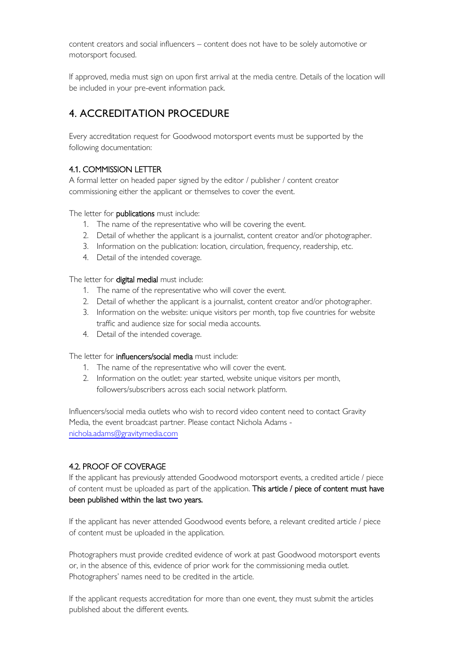content creators and social influencers – content does not have to be solely automotive or motorsport focused.

If approved, media must sign on upon first arrival at the media centre. Details of the location will be included in your pre-event information pack.

### 4. ACCREDITATION PROCEDURE

Every accreditation request for Goodwood motorsport events must be supported by the following documentation:

#### 4.1. COMMISSION LETTER

A formal letter on headed paper signed by the editor / publisher / content creator commissioning either the applicant or themselves to cover the event.

The letter for **publications** must include:

- 1. The name of the representative who will be covering the event.
- 2. Detail of whether the applicant is a journalist, content creator and/or photographer.
- 3. Information on the publication: location, circulation, frequency, readership, etc.
- 4. Detail of the intended coverage.

The letter for digital medial must include:

- 1. The name of the representative who will cover the event.
- 2. Detail of whether the applicant is a journalist, content creator and/or photographer.
- 3. Information on the website: unique visitors per month, top five countries for website traffic and audience size for social media accounts.
- 4. Detail of the intended coverage.

The letter for influencers/social media must include:

- 1. The name of the representative who will cover the event.
- 2. Information on the outlet: year started, website unique visitors per month, followers/subscribers across each social network platform.

Influencers/social media outlets who wish to record video content need to contact Gravity Media, the event broadcast partner. Please contact Nichola Adams [nichola.adams@gravitymedia.com](mailto:nichola.adams@gravitymedia.com)

#### 4.2. PROOF OF COVERAGE

If the applicant has previously attended Goodwood motorsport events, a credited article / piece of content must be uploaded as part of the application. This article / piece of content must have been published within the last two years.

If the applicant has never attended Goodwood events before, a relevant credited article / piece of content must be uploaded in the application.

Photographers must provide credited evidence of work at past Goodwood motorsport events or, in the absence of this, evidence of prior work for the commissioning media outlet. Photographers' names need to be credited in the article.

If the applicant requests accreditation for more than one event, they must submit the articles published about the different events.